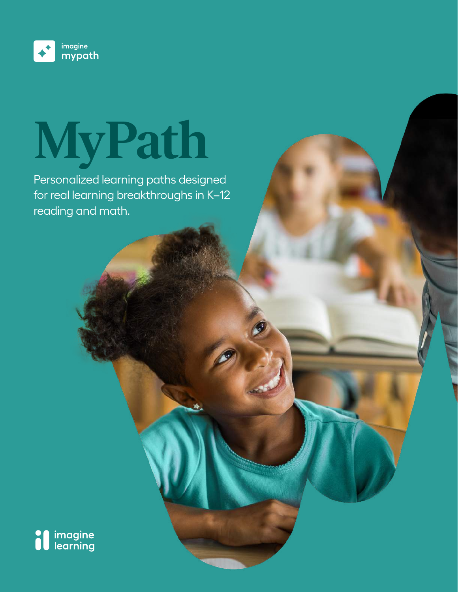

# **MyPath**

Personalized learning paths designed for real learning breakthroughs in K–12 reading and math.

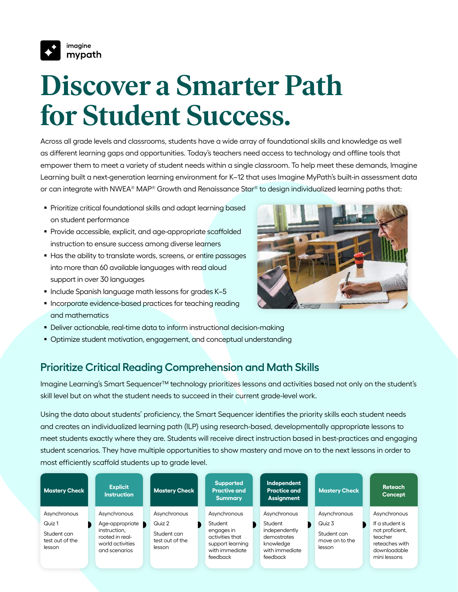

# **Discover a Smarter Path for Student Success.**

Across all grade levels and classrooms, students have a wide array of foundational skills and knowledge as well as different learning gaps and opportunities. Today's teachers need access to technology and offline tools that empower them to meet a variety of student needs within a single classroom. To help meet these demands, Imagine Learning built a next-generation learning environment for K–12 that uses Imagine MyPath's built-in assessment data or can integrate with NWEA® MAP® Growth and Renaissance Star® to design individualized learning paths that:

- Prioritize critical foundational skills and adapt learning based on student performance
- **Provide accessible, explicit, and age-appropriate scaffolded** instruction to ensure success among diverse learners
- Has the ability to translate words, screens, or entire passages into more than 60 available languages with read aloud support in over 30 languages
- $\blacksquare$  Include Spanish language math lessons for grades K-5
- **Incorporate evidence-based practices for teaching reading** and mathematics
- Deliver actionable, real-time data to inform instructional decision-making
- Optimize student motivation, engagement, and conceptual understanding

#### **Prioritize Critical Reading Comprehension and Math Skills**

Imagine Learning's Smart Sequencer™ technology prioritizes lessons and activities based not only on the student's skill level but on what the student needs to succeed in their current grade-level work.

Using the data about students' proficiency, the Smart Sequencer identifies the priority skills each student needs and creates an individualized learning path (ILP) using research-based, developmentally appropriate lessons to meet students exactly where they are. Students will receive direct instruction based in best-practices and engaging student scenarios. They have multiple opportunities to show mastery and move on to the next lessons in order to most efficiently scaffold students up to grade level.

| <b>Mastery Check</b>                                               | <b>Explicit</b><br><b>Instruction</b>                                                                   | <b>Mastery Check</b>                                               | <b>Supported</b><br><b>Practive and</b><br><b>Summary</b>                                                  | Independent<br><b>Practice and</b><br><b>Assignment</b>                                            | <b>Mastery Check</b>                                              | <b>Reteach</b><br><b>Concept</b>                                                                                |
|--------------------------------------------------------------------|---------------------------------------------------------------------------------------------------------|--------------------------------------------------------------------|------------------------------------------------------------------------------------------------------------|----------------------------------------------------------------------------------------------------|-------------------------------------------------------------------|-----------------------------------------------------------------------------------------------------------------|
| Asynchronous<br>Quiz 1<br>Student can<br>test out of the<br>lesson | Asynchronous<br>Age-appropriate<br>instruction,<br>rooted in real-<br>world activities<br>and scenarios | Asynchronous<br>Quiz 2<br>Student can<br>test out of the<br>lesson | Asynchronous<br>Student<br>engages in<br>activities that<br>support learning<br>with immediate<br>feedback | Asynchronous<br>Student<br>independently<br>demostrates<br>knowledae<br>with immediate<br>feedback | Asynchronous<br>Quiz 3<br>Student can<br>move on to the<br>lesson | Asynchronous<br>If a student is<br>not proficient,<br>teacher<br>reteaches with<br>downloadable<br>mini lessons |

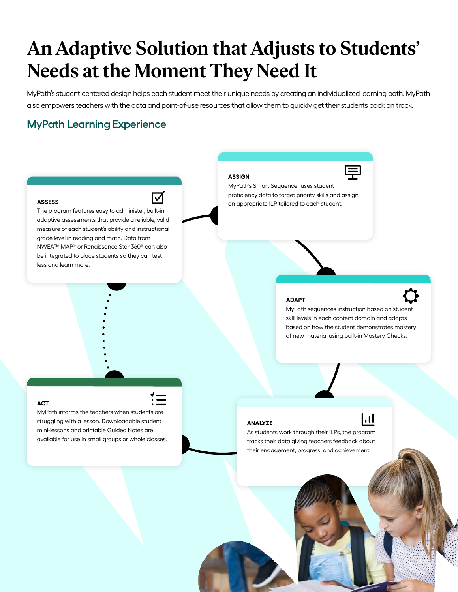### **An Adaptive Solution that Adjusts to Students' Needs at the Moment They Need It**

MyPath's student-centered design helps each student meet their unique needs by creating an individualized learning path. MyPath also empowers teachers with the data and point-of-use resources that allow them to quickly get their students back on track.

**ASSIGN**

#### **MyPath Learning Experience**



MyPath's Smart Sequencer uses student proficiency data to target priority skills and assign an appropriate ILP tailored to each student.

#### **ASSESS**

☑

The program features easy to administer, built-in adaptive assessments that provide a reliable, valid measure of each student's ability and instructional grade level in reading and math. Data from NWEA™ MAP® or Renaissance Star 360® can also be integrated to place students so they can test less and learn more.

#### **ADAPT**

MyPath sequences instruction based on student skill levels in each content domain and adapts based on how the student demonstrates mastery of new material using built-in Mastery Checks.

ht

#### **ACT**

MyPath informs the teachers when students are struggling with a lesson. Downloadable student mini-lessons and printable Guided Notes are available for use in small groups or whole classes.

#### **ANALYZE**

As students work through their ILPs, the program tracks their data giving teachers feedback about their engagement, progress, and achievement.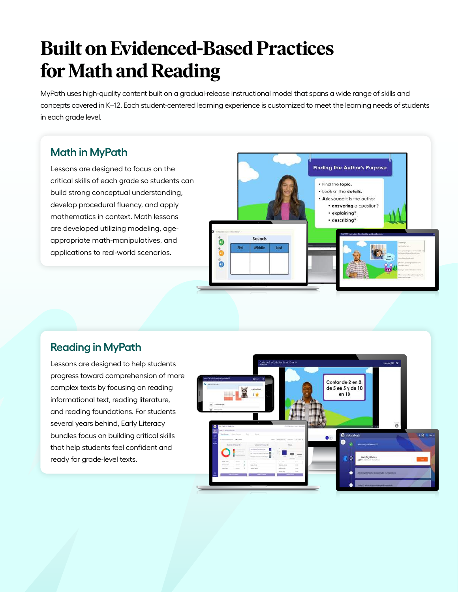# **Built on Evidenced-Based Practices for Math and Reading**

MyPath uses high-quality content built on a gradual-release instructional model that spans a wide range of skills and concepts covered in K–12. Each student-centered learning experience is customized to meet the learning needs of students in each grade level.

#### **Math in MyPath**

Lessons are designed to focus on the critical skills of each grade so students can build strong conceptual understanding, develop procedural fluency, and apply mathematics in context. Math lessons are developed utilizing modeling, ageappropriate math-manipulatives, and applications to real-world scenarios.



#### **Reading in MyPath**

Lessons are designed to help students progress toward comprehension of more complex texts by focusing on reading informational text, reading literature, and reading foundations. For students several years behind, Early Literacy bundles focus on building critical skills that help students feel confident and ready for grade-level texts.

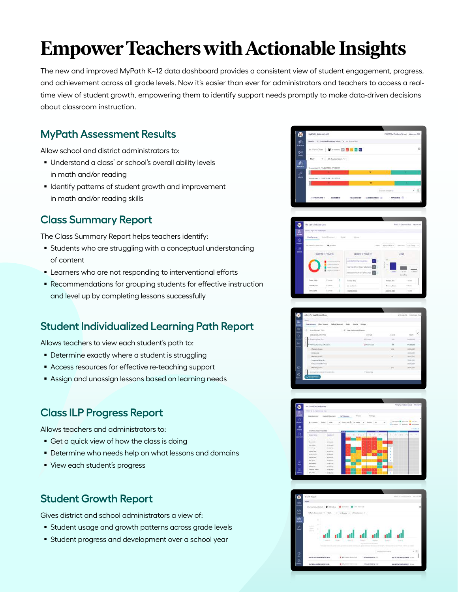# **Empower Teachers with Actionable Insights**

The new and improved MyPath K–12 data dashboard provides a consistent view of student engagement, progress, and achievement across all grade levels. Now it's easier than ever for administrators and teachers to access a realtime view of student growth, empowering them to identify support needs promptly to make data-driven decisions about classroom instruction.

#### **MyPath Assessment Results**

Allow school and district administrators to:

- Understand a class' or school's overall ability levels in math and/or reading
- **I** Identify patterns of student growth and improvement in math and/or reading skills

#### **Class Summary Report**

The Class Summary Report helps teachers identify:

- Students who are struggling with a conceptual understanding of content
- **Learners who are not responding to interventional efforts**
- **Recommendations for grouping students for effective instruction** and level up by completing lessons successfully

#### **Student Individualized Learning Path Report**

Allows teachers to view each student's path to:

- **Determine exactly where a student is struggling**
- Access resources for effective re-teaching support
- Assign and unassign lessons based on learning needs

#### **Class ILP Progress Report**

Allows teachers and administrators to:

- Get a quick view of how the class is doing
- **Determine who needs help on what lessons and domains**
- **View each student's progress**

#### **Student Growth Report**

Gives district and school administrators a view of:

- **Student usage and growth patterns across grade levels**
- **Student progress and development over a school year**

|                 |                                      |                                          | <b>THE</b> | <b>biam buorra</b>                         |                |
|-----------------|--------------------------------------|------------------------------------------|------------|--------------------------------------------|----------------|
| ₽<br>about      | Neurostrum : Victorizza - no recordo |                                          | m          |                                            |                |
| <b>MEDICATS</b> | Assessment TO/SURES TOWNS            |                                          |            |                                            |                |
| ⋍<br>nân        |                                      | Mich. w Alt Assessments w                |            |                                            |                |
| <b>COL</b><br>Ë |                                      | <b>PETRON WITH BETTER</b>                |            |                                            | $\overline{a}$ |
| 面<br>icienz     |                                      | Rende 3 Bandon Emerge Med 3 Hz Suits Sun |            |                                            |                |
| ×               | MyPARN Azamazment                    |                                          |            | PESTO Das O debouis Skriene! Welcomer Mill |                |







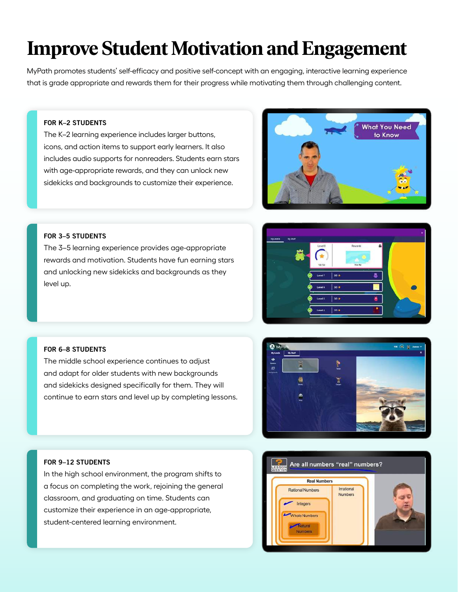# **Improve Student Motivation and Engagement**

MyPath promotes students' self-efficacy and positive self-concept with an engaging, interactive learning experience that is grade appropriate and rewards them for their progress while motivating them through challenging content.

#### FOR K–2 STUDENTS

The K–2 learning experience includes larger buttons, icons, and action items to support early learners. It also includes audio supports for nonreaders. Students earn stars with age-appropriate rewards, and they can unlock new sidekicks and backgrounds to customize their experience.



#### FOR 3–5 STUDENTS

The 3–5 learning experience provides age-appropriate rewards and motivation. Students have fun earning stars and unlocking new sidekicks and backgrounds as they level up.



#### FOR 6–8 STUDENTS

The middle school experience continues to adjust and adapt for older students with new backgrounds and sidekicks designed specifically for them. They will continue to earn stars and level up by completing lessons.



#### FOR 9–12 STUDENTS

In the high school environment, the program shifts to a focus on completing the work, rejoining the general classroom, and graduating on time. Students can customize their experience in an age-appropriate, student-centered learning environment.

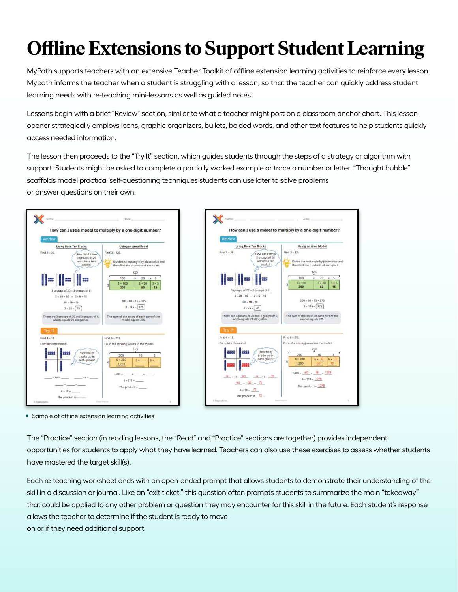# **Offline Extensions to Support Student Learning**

MyPath supports teachers with an extensive Teacher Toolkit of offline extension learning activities to reinforce every lesson. Mypath informs the teacher when a student is struggling with a lesson, so that the teacher can quickly address student learning needs with re-teaching mini-lessons as well as guided notes.

Lessons begin with a brief "Review" section, similar to what a teacher might post on a classroom anchor chart. This lesson opener strategically employs icons, graphic organizers, bullets, bolded words, and other text features to help students quickly access needed information.

The lesson then proceeds to the "Try It" section, which guides students through the steps of a strategy or algorithm with support. Students might be asked to complete a partially worked example or trace a number or letter. "Thought bubble" scaffolds model practical self-questioning techniques students can use later to solve problems or answer questions on their own.



• Sample of offline extension learning activities

The "Practice" section (in reading lessons, the "Read" and "Practice" sections are together) provides independent opportunities for students to apply what they have learned. Teachers can also use these exercises to assess whether students have mastered the target skill(s).

Each re-teaching worksheet ends with an open-ended prompt that allows students to demonstrate their understanding of the skill in a discussion or journal. Like an "exit ticket," this question often prompts students to summarize the main "takeaway" that could be applied to any other problem or question they may encounter for this skill in the future. Each student's response allows the teacher to determine if the student is ready to move on or if they need additional support.